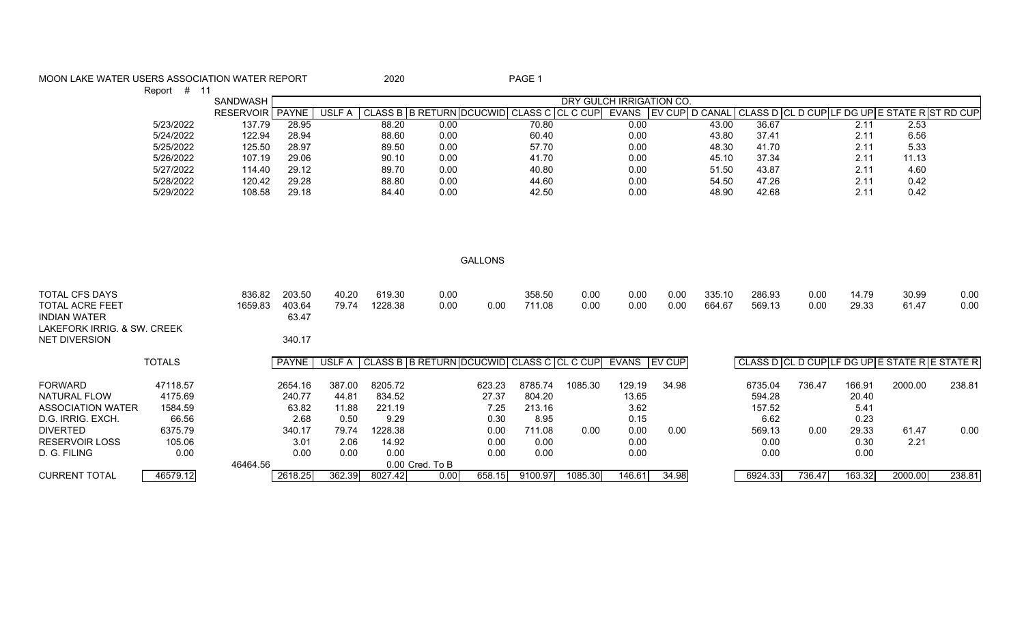| MOON LAKE WATER USERS ASSOCIATION WATER REPORT                               |               |                 |                 |        | 2020    |                                           |                | PAGE 1                   |         |                       |       |        |         |        |        |                                               |        |
|------------------------------------------------------------------------------|---------------|-----------------|-----------------|--------|---------|-------------------------------------------|----------------|--------------------------|---------|-----------------------|-------|--------|---------|--------|--------|-----------------------------------------------|--------|
|                                                                              | Report # 11   | SANDWASH        |                 |        |         |                                           |                |                          |         |                       |       |        |         |        |        |                                               |        |
|                                                                              |               |                 |                 |        |         |                                           |                | DRY GULCH IRRIGATION CO. |         |                       |       |        |         |        |        |                                               |        |
|                                                                              |               | RESERVOIR PAYNE |                 | USLF A |         | CLASS B B RETURN DCUCWID CLASS C CL C CUP |                |                          |         | EVANS EV CUP D CANAL  |       |        |         |        |        | CLASS D CL D CUP LF DG UP E STATE R ST RD CUP |        |
|                                                                              | 5/23/2022     | 137.79          | 28.95           |        | 88.20   | 0.00                                      |                | $\overline{70.80}$       |         | 0.00                  |       | 43.00  | 36.67   |        | 2.11   | 2.53                                          |        |
|                                                                              | 5/24/2022     | 122.94          | 28.94           |        | 88.60   | 0.00                                      |                | 60.40                    |         | 0.00                  |       | 43.80  | 37.41   |        | 2.11   | 6.56                                          |        |
|                                                                              | 5/25/2022     | 125.50          | 28.97           |        | 89.50   | 0.00                                      |                | 57.70                    |         | 0.00                  |       | 48.30  | 41.70   |        | 2.11   | 5.33                                          |        |
|                                                                              | 5/26/2022     | 107.19          | 29.06           |        | 90.10   | 0.00                                      |                | 41.70                    |         | 0.00                  |       | 45.10  | 37.34   |        | 2.11   | 11.13                                         |        |
|                                                                              | 5/27/2022     | 114.40          | 29.12           |        | 89.70   | 0.00                                      |                | 40.80                    |         | 0.00                  |       | 51.50  | 43.87   |        | 2.11   | 4.60                                          |        |
|                                                                              | 5/28/2022     | 120.42          | 29.28           |        | 88.80   | 0.00                                      |                | 44.60                    |         | 0.00                  |       | 54.50  | 47.26   |        | 2.11   | 0.42                                          |        |
|                                                                              | 5/29/2022     | 108.58          | 29.18           |        | 84.40   | 0.00                                      |                | 42.50                    |         | 0.00                  |       | 48.90  | 42.68   |        | 2.11   | 0.42                                          |        |
|                                                                              |               |                 |                 |        |         |                                           | <b>GALLONS</b> |                          |         |                       |       |        |         |        |        |                                               |        |
| <b>TOTAL CFS DAYS</b>                                                        |               | 836.82          | 203.50          | 40.20  | 619.30  | 0.00                                      |                | 358.50                   | 0.00    | 0.00                  | 0.00  | 335.10 | 286.93  | 0.00   | 14.79  | 30.99                                         | 0.00   |
| <b>TOTAL ACRE FEET</b><br><b>INDIAN WATER</b><br>LAKEFORK IRRIG, & SW. CREEK |               | 1659.83         | 403.64<br>63.47 | 79.74  | 1228.38 | 0.00                                      | 0.00           | 711.08                   | 0.00    | 0.00                  | 0.00  | 664.67 | 569.13  | 0.00   | 29.33  | 61.47                                         | 0.00   |
| <b>NET DIVERSION</b>                                                         |               |                 | 340.17          |        |         |                                           |                |                          |         |                       |       |        |         |        |        |                                               |        |
|                                                                              | <b>TOTALS</b> |                 | <b>PAYNE</b>    | USLF A |         | CLASS B B RETURN DCUCWID CLASS C CL C CUP |                |                          |         | EVANS <b>I</b> EV CUP |       |        |         |        |        | CLASS D CL D CUPLE DG UPLE STATE RESTATE R    |        |
| <b>FORWARD</b>                                                               | 47118.57      |                 | 2654.16         | 387.00 | 8205.72 |                                           | 623.23         | 8785.74                  | 1085.30 | 129.19                | 34.98 |        | 6735.04 | 736.47 | 166.91 | 2000.00                                       | 238.81 |
| <b>NATURAL FLOW</b>                                                          | 4175.69       |                 | 240.77          | 44.81  | 834.52  |                                           | 27.37          | 804.20                   |         | 13.65                 |       |        | 594.28  |        | 20.40  |                                               |        |
| <b>ASSOCIATION WATER</b>                                                     | 1584.59       |                 | 63.82           | 11.88  | 221.19  |                                           | 7.25           | 213.16                   |         | 3.62                  |       |        | 157.52  |        | 5.41   |                                               |        |
| D.G. IRRIG. EXCH.                                                            | 66.56         |                 | 2.68            | 0.50   | 9.29    |                                           | 0.30           | 8.95                     |         | 0.15                  |       |        | 6.62    |        | 0.23   |                                               |        |
| <b>DIVERTED</b>                                                              | 6375.79       |                 | 340.17          | 79.74  | 1228.38 |                                           | 0.00           | 711.08                   | 0.00    | 0.00                  | 0.00  |        | 569.13  | 0.00   | 29.33  | 61.47                                         | 0.00   |
| <b>RESERVOIR LOSS</b>                                                        | 105.06        |                 | 3.01            | 2.06   | 14.92   |                                           | 0.00           | 0.00                     |         | 0.00                  |       |        | 0.00    |        | 0.30   | 2.21                                          |        |
| D. G. FILING                                                                 | 0.00          |                 | 0.00            | 0.00   | 0.00    |                                           | 0.00           | 0.00                     |         | 0.00                  |       |        | 0.00    |        | 0.00   |                                               |        |
|                                                                              |               | 46464.56        |                 |        |         | 0.00 Cred. To B                           |                |                          |         |                       |       |        |         |        |        |                                               |        |
| <b>CURRENT TOTAL</b>                                                         | 46579.12      |                 | 2618.25         | 362.39 | 8027.42 | 0.00                                      | 658.15         | 9100.97                  | 1085.30 | 146.61                | 34.98 |        | 6924.33 | 736.47 | 163.32 | 2000.00                                       | 238.81 |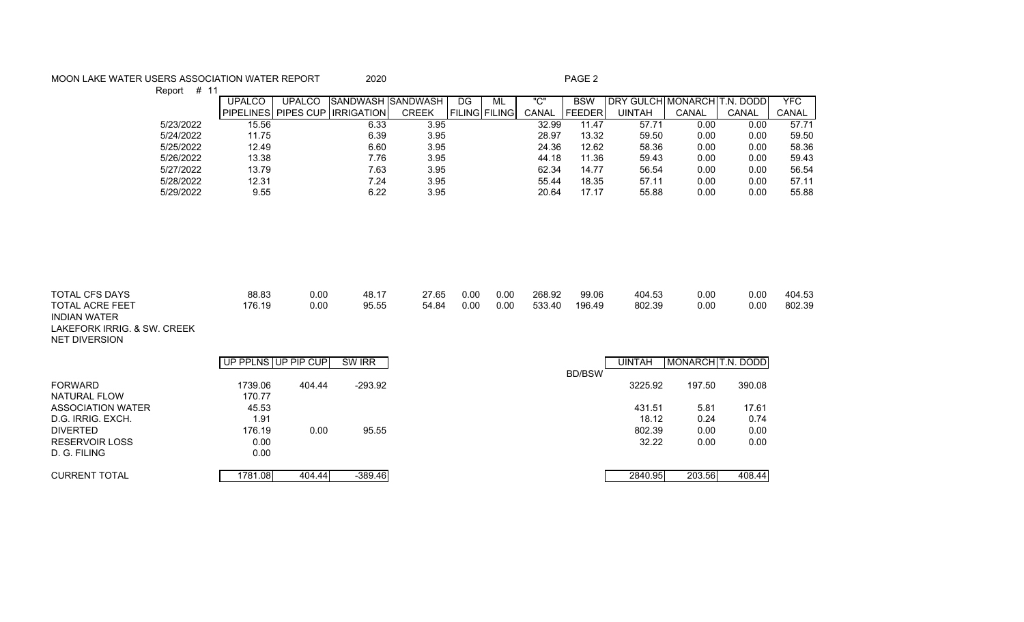## MOON LAKE WATER USERS ASSOCIATION WATER REPORT 2020 2020 PAGE 2

Report # 11 UPALCO | UPALCO SANDWASH SANDWASH | DG | ML | "C" | BSW | DRY GULCH MONARCH T.N. DODD | YFC PIPELINES PIPES CUP IRRIGATION CREEK FILING FILING CANAL FEEDER UINTAH CANAL CANAL CANAL 5/23/2022 15.56 6.33 3.95 32.99 11.47 57.71 0.00 0.00 57.71 5/24/2022 11.75 6.39 3.95 28.97 13.32 59.50 0.00 0.00 59.50 5/25/2022 12.49 6.60 3.95 24.36 12.62 58.36 0.00 0.00 58.36 5/26/2022 13.38 7.76 3.95 44.18 11.36 59.43 0.00 0.00 59.43 5/27/2022 13.79 7.63 3.95 62.34 14.77 56.54 0.00 0.00 56.54 5/28/2022 12.31 7.24 3.95 55.44 18.35 57.11 0.00 0.00 57.11 5/29/2022 9.55 6.22 3.95 20.64 17.17 55.88 0.00 0.00 55.88

| TOTAL CFS DAYS<br><b>TOTAL ACRE FEET</b><br><b>INDIAN WATER</b><br>LAKEFORK IRRIG. & SW. CREEK<br><b>NET DIVERSION</b> | 88.83<br>176.19     | 0.00<br>0.00 | 48.17<br>95.55 | 27.65<br>54.84 | 0.00<br>0.00 | 0.00<br>0.00 | 268.92<br>533.40 | 99.06<br>196.49 | 404.53<br>802.39 | 0.00<br>0.00      | 0.00<br>0.00 | 404.53<br>802.39 |
|------------------------------------------------------------------------------------------------------------------------|---------------------|--------------|----------------|----------------|--------------|--------------|------------------|-----------------|------------------|-------------------|--------------|------------------|
|                                                                                                                        | UP PPLNS UP PIP CUP |              | SW IRR         |                |              |              |                  |                 | <b>UINTAH</b>    | MONARCH T.N. DODD |              |                  |
| <b>FORWARD</b>                                                                                                         | 1739.06             | 404.44       | $-293.92$      |                |              |              |                  | <b>BD/BSW</b>   | 3225.92          | 197.50            | 390.08       |                  |
| NATURAL FLOW                                                                                                           | 170.77              |              |                |                |              |              |                  |                 |                  |                   |              |                  |
| ASSOCIATION WATER                                                                                                      | 45.53               |              |                |                |              |              |                  |                 | 431.51           | 5.81              | 17.61        |                  |
| D.G. IRRIG. EXCH.                                                                                                      | 1.91                |              |                |                |              |              |                  |                 | 18.12            | 0.24              | 0.74         |                  |
| <b>DIVERTED</b>                                                                                                        | 176.19              | 0.00         | 95.55          |                |              |              |                  |                 | 802.39           | 0.00              | 0.00         |                  |
| <b>RESERVOIR LOSS</b>                                                                                                  | 0.00                |              |                |                |              |              |                  |                 | 32.22            | 0.00              | 0.00         |                  |
| D. G. FILING                                                                                                           | 0.00                |              |                |                |              |              |                  |                 |                  |                   |              |                  |

CURRENT TOTAL 1781.08 404.44 -389.46 2840.95 203.56 408.44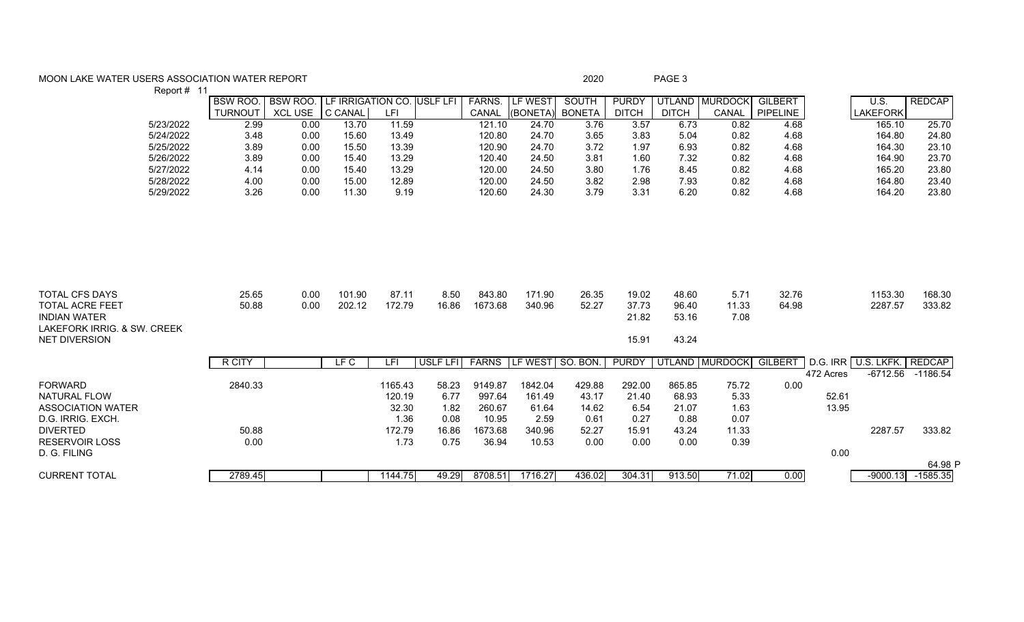## MOON LAKE WATER USERS ASSOCIATION WATER REPORT **Example 200** 2020 2020 PAGE 3  $P_{\text{onort}}$ # 11

| $\text{Report}$ $\#$ $\text{H}$                                                                                               |                |                 |                            |                 |                 |                   |                       |                     |                                  |                                  |                       |                 |           |                            |                  |
|-------------------------------------------------------------------------------------------------------------------------------|----------------|-----------------|----------------------------|-----------------|-----------------|-------------------|-----------------------|---------------------|----------------------------------|----------------------------------|-----------------------|-----------------|-----------|----------------------------|------------------|
|                                                                                                                               | <b>BSW ROO</b> | BSW ROO.        | LF IRRIGATION CO. USLF LFI |                 |                 | <b>FARNS.</b>     | LF WEST               | SOUTH               | <b>PURDY</b>                     |                                  | UTLAND MURDOCK        | <b>GILBERT</b>  |           | U.S.                       | <b>REDCAP</b>    |
|                                                                                                                               | <b>TURNOUT</b> | XCL USE C CANAL |                            | LFI             |                 |                   | CANAL (BONETA) BONETA |                     | <b>DITCH</b>                     | <b>DITCH</b>                     | CANAL                 | <b>PIPELINE</b> |           | <b>LAKEFORK</b>            |                  |
| 5/23/2022                                                                                                                     | 2.99           | 0.00            | 13.70                      | 11.59           |                 | 121.10            | 24.70                 | 3.76                | 3.57                             | 6.73                             | 0.82                  | 4.68            |           | 165.10                     | 25.70            |
| 5/24/2022                                                                                                                     | 3.48           | 0.00            | 15.60                      | 13.49           |                 | 120.80            | 24.70                 | 3.65                | 3.83                             | 5.04                             | 0.82                  | 4.68            |           | 164.80                     | 24.80            |
| 5/25/2022                                                                                                                     | 3.89           | 0.00            | 15.50                      | 13.39           |                 | 120.90            | 24.70                 | 3.72                | 1.97                             | 6.93                             | 0.82                  | 4.68            |           | 164.30                     | 23.10            |
| 5/26/2022                                                                                                                     | 3.89           | 0.00            | 15.40                      | 13.29           |                 | 120.40            | 24.50                 | 3.81                | 1.60                             | 7.32                             | 0.82                  | 4.68            |           | 164.90                     | 23.70            |
| 5/27/2022                                                                                                                     | 4.14           | 0.00            | 15.40                      | 13.29           |                 | 120.00            | 24.50                 | 3.80                | 1.76                             | 8.45                             | 0.82                  | 4.68            |           | 165.20                     | 23.80            |
| 5/28/2022                                                                                                                     | 4.00           | 0.00            | 15.00                      | 12.89           |                 | 120.00            | 24.50                 | 3.82                | 2.98                             | 7.93                             | 0.82                  | 4.68            |           | 164.80                     | 23.40            |
| 5/29/2022                                                                                                                     | 3.26           | 0.00            | 11.30                      | 9.19            |                 | 120.60            | 24.30                 | 3.79                | 3.31                             | 6.20                             | 0.82                  | 4.68            |           | 164.20                     | 23.80            |
| <b>TOTAL CFS DAYS</b><br><b>TOTAL ACRE FEET</b><br><b>INDIAN WATER</b><br>LAKEFORK IRRIG. & SW. CREEK<br><b>NET DIVERSION</b> | 25.65<br>50.88 | 0.00<br>0.00    | 101.90<br>202.12           | 87.11<br>172.79 | 8.50<br>16.86   | 843.80<br>1673.68 | 171.90<br>340.96      | 26.35<br>52.27      | 19.02<br>37.73<br>21.82<br>15.91 | 48.60<br>96.40<br>53.16<br>43.24 | 5.71<br>11.33<br>7.08 | 32.76<br>64.98  |           | 1153.30<br>2287.57         | 168.30<br>333.82 |
|                                                                                                                               | R CITY         |                 | LFC                        | LFI             | <b>USLF LFI</b> | <b>FARNS</b>      | LF WEST               | $\sqrt{ }$ SO. BON. | <b>PURDY</b>                     |                                  | UTLAND MURDOCK        | <b>GILBERT</b>  |           | D.G. IRR U.S. LKFK. REDCAP |                  |
|                                                                                                                               |                |                 |                            |                 |                 |                   |                       |                     |                                  |                                  |                       |                 | 472 Acres | $-6712.56$                 | $-1186.54$       |
| <b>FORWARD</b>                                                                                                                | 2840.33        |                 |                            | 1165.43         | 58.23           | 9149.87           | 1842.04               | 429.88              | 292.00                           | 865.85                           | 75.72                 | 0.00            |           |                            |                  |
| <b>NATURAL FLOW</b>                                                                                                           |                |                 |                            | 120.19          | 6.77            | 997.64            | 161.49                | 43.17               | 21.40                            | 68.93                            | 5.33                  |                 | 52.61     |                            |                  |
| <b>ASSOCIATION WATER</b>                                                                                                      |                |                 |                            | 32.30           | 1.82            | 260.67            | 61.64                 | 14.62               | 6.54                             | 21.07                            | 1.63                  |                 | 13.95     |                            |                  |
| D.G. IRRIG. EXCH.                                                                                                             |                |                 |                            | 1.36            | 0.08            | 10.95             | 2.59                  | 0.61                | 0.27                             | 0.88                             | 0.07                  |                 |           |                            |                  |
| <b>DIVERTED</b>                                                                                                               | 50.88          |                 |                            | 172.79          | 16.86           | 1673.68           | 340.96                | 52.27               | 15.91                            | 43.24                            | 11.33                 |                 |           | 2287.57                    | 333.82           |
| <b>RESERVOIR LOSS</b>                                                                                                         | 0.00           |                 |                            | 1.73            | 0.75            | 36.94             | 10.53                 | 0.00                | 0.00                             | 0.00                             | 0.39                  |                 |           |                            |                  |
| D. G. FILING                                                                                                                  |                |                 |                            |                 |                 |                   |                       |                     |                                  |                                  |                       |                 | 0.00      |                            |                  |
|                                                                                                                               |                |                 |                            |                 |                 |                   |                       |                     |                                  |                                  |                       |                 |           |                            | 64.98 P          |
| <b>CURRENT TOTAL</b>                                                                                                          | 2789.45        |                 |                            | 1144.75         | 49.29           | 8708.51           | 1716.27               | 436.02              | 304.31                           | 913.50                           | 71.02                 | 0.00            |           | $-9000.13$                 | $-1585.35$       |